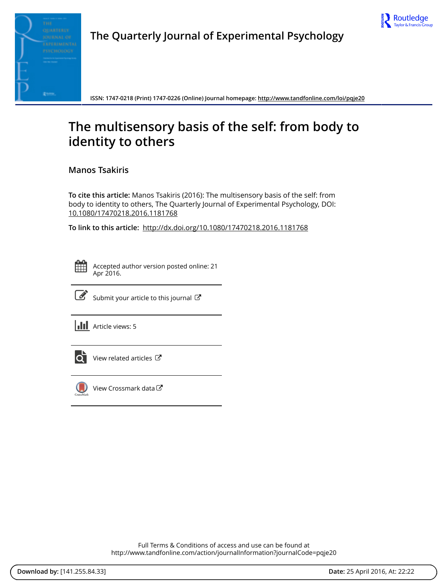

**The Quarterly Journal of Experimental Psychology**

**ISSN: 1747-0218 (Print) 1747-0226 (Online) Journal homepage:<http://www.tandfonline.com/loi/pqje20>**

## **The multisensory basis of the self: from body to identity to others**

**Manos Tsakiris**

**To cite this article:** Manos Tsakiris (2016): The multisensory basis of the self: from body to identity to others, The Quarterly Journal of Experimental Psychology, DOI: [10.1080/17470218.2016.1181768](http://www.tandfonline.com/action/showCitFormats?doi=10.1080/17470218.2016.1181768)

**To link to this article:** <http://dx.doi.org/10.1080/17470218.2016.1181768>

Accepted author version posted online: 21 Apr 2016.



 $\overrightarrow{S}$  [Submit your article to this journal](http://www.tandfonline.com/action/authorSubmission?journalCode=pqje20&page=instructions)  $\overrightarrow{S}$ 

**Article views: 5** 



 $\overrightarrow{Q}$  [View related articles](http://www.tandfonline.com/doi/mlt/10.1080/17470218.2016.1181768)  $\overrightarrow{C}$ 



[View Crossmark data](http://crossmark.crossref.org/dialog/?doi=10.1080/17470218.2016.1181768&domain=pdf&date_stamp=2016-04-21)<sup>で</sup>

Full Terms & Conditions of access and use can be found at <http://www.tandfonline.com/action/journalInformation?journalCode=pqje20>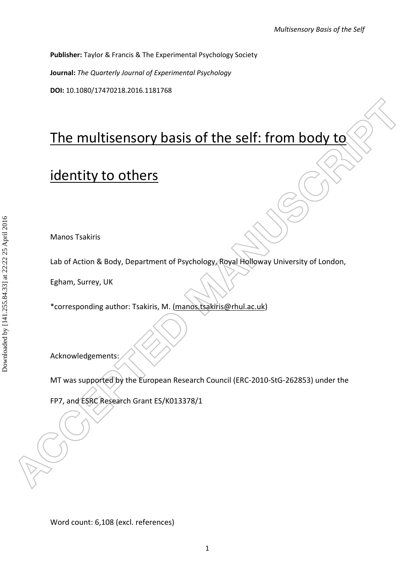**Publisher:** Taylor & Francis & The Experimental Psychology Society **Journal:** *The Quarterly Journal of Experimental Psychology* 

**DOI:** 10.1080/17470218.2016.1181768

# The multisensory basis of the self: from body to

# identity to others

Manos Tsakiris

Lab of Action & Body, Department of Psychology, Royal Holloway University of London,

Egham, Surrey, UK

\*corresponding author: Tsakiris, M. (manos.tsakiris@rhul.ac.uk)

Acknowledgements:

MT was supported by the European Research Council (ERC-2010-StG-262853) under the

FP7, and ESRC Research Grant ES/K013378/1

Word count: 6,108 (excl. references)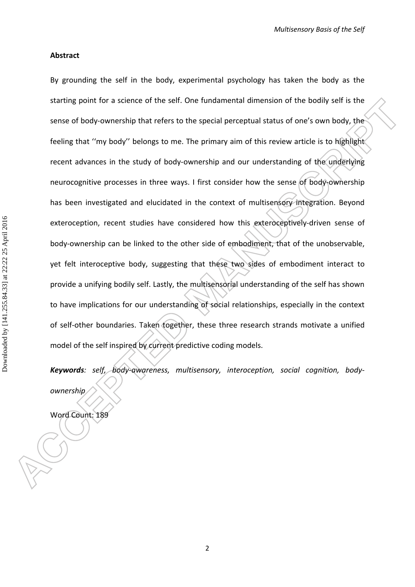#### **Abstract**

By grounding the self in the body, experimental psychology has taken the body as the starting point for a science of the self. One fundamental dimension of the bodily self is the sense of body-ownership that refers to the special perceptual status of one's own body, the feeling that ''my body'' belongs to me. The primary aim of this review article is to highlight recent advances in the study of body-ownership and our understanding of the underlying neurocognitive processes in three ways. I first consider how the sense of body-ownership has been investigated and elucidated in the context of multisensory integration. Beyond exteroception, recent studies have considered how this exteroceptively-driven sense of body-ownership can be linked to the other side of embodiment, that of the unobservable, yet felt interoceptive body, suggesting that these two sides of embodiment interact to provide a unifying bodily self. Lastly, the multisensorial understanding of the self has shown to have implications for our understanding of social relationships, especially in the context of self-other boundaries. Taken together, these three research strands motivate a unified model of the self inspired by current predictive coding models.

*Keywords: self, body-awareness, multisensory, interoception, social cognition, bodyownership* 

Word Count: 189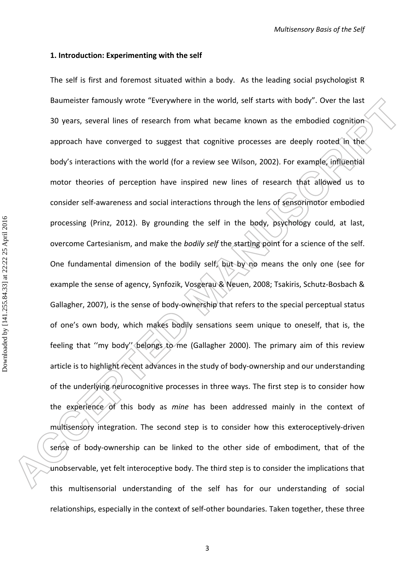#### **1. Introduction: Experimenting with the self**

The self is first and foremost situated within a body. As the leading social psychologist R Baumeister famously wrote "Everywhere in the world, self starts with body". Over the last 30 years, several lines of research from what became known as the embodied cognition approach have converged to suggest that cognitive processes are deeply rooted in the body's interactions with the world (for a review see Wilson, 2002). For example, influential motor theories of perception have inspired new lines of research that allowed us to consider self-awareness and social interactions through the lens of sensorimotor embodied processing (Prinz, 2012). By grounding the self in the body, psychology could, at last, overcome Cartesianism, and make the *bodily self* the starting point for a science of the self. One fundamental dimension of the bodily self, but by no means the only one (see for example the sense of agency, Synfozik, Vosgerau & Neuen, 2008; Tsakiris, Schutz-Bosbach & Gallagher, 2007), is the sense of body-ownership that refers to the special perceptual status of one's own body, which makes bodily sensations seem unique to oneself, that is, the feeling that ''my body'' belongs to me (Gallagher 2000). The primary aim of this review article is to highlight recent advances in the study of body-ownership and our understanding of the underlying neurocognitive processes in three ways. The first step is to consider how the experience of this body as *mine* has been addressed mainly in the context of multisensory integration. The second step is to consider how this exteroceptively-driven sense of body-ownership can be linked to the other side of embodiment, that of the unobservable, yet felt interoceptive body. The third step is to consider the implications that this multisensorial understanding of the self has for our understanding of social relationships, especially in the context of self-other boundaries. Taken together, these three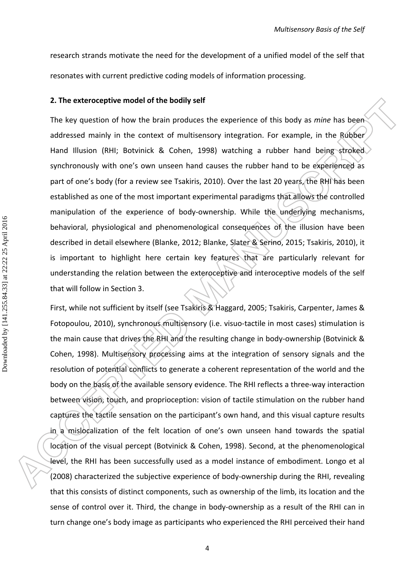research strands motivate the need for the development of a unified model of the self that resonates with current predictive coding models of information processing.

#### **2. The exteroceptive model of the bodily self**

The key question of how the brain produces the experience of this body as *mine* has been addressed mainly in the context of multisensory integration. For example, in the Rubber Hand Illusion (RHI; Botvinick & Cohen, 1998) watching a rubber hand being stroked synchronously with one's own unseen hand causes the rubber hand to be experienced as part of one's body (for a review see Tsakiris, 2010). Over the last 20 years, the RHI has been established as one of the most important experimental paradigms that allows the controlled manipulation of the experience of body-ownership. While the underlying mechanisms, behavioral, physiological and phenomenological consequences of the illusion have been described in detail elsewhere (Blanke, 2012; Blanke, Slater & Serino, 2015; Tsakiris, 2010), it is important to highlight here certain key features that are particularly relevant for understanding the relation between the exteroceptive and interoceptive models of the self that will follow in Section 3.

First, while not sufficient by itself (see Tsakiris & Haggard, 2005; Tsakiris, Carpenter, James & Fotopoulou, 2010), synchronous multisensory (i.e. visuo-tactile in most cases) stimulation is the main cause that drives the RHI and the resulting change in body-ownership (Botvinick & Cohen, 1998). Multisensory processing aims at the integration of sensory signals and the resolution of potential conflicts to generate a coherent representation of the world and the body on the basis of the available sensory evidence. The RHI reflects a three-way interaction between vision, touch, and proprioception: vision of tactile stimulation on the rubber hand captures the tactile sensation on the participant's own hand, and this visual capture results in a mislocalization of the felt location of one's own unseen hand towards the spatial location of the visual percept (Botvinick & Cohen, 1998). Second, at the phenomenological level, the RHI has been successfully used as a model instance of embodiment. Longo et al (2008) characterized the subjective experience of body-ownership during the RHI, revealing that this consists of distinct components, such as ownership of the limb, its location and the sense of control over it. Third, the change in body-ownership as a result of the RHI can in turn change one's body image as participants who experienced the RHI perceived their hand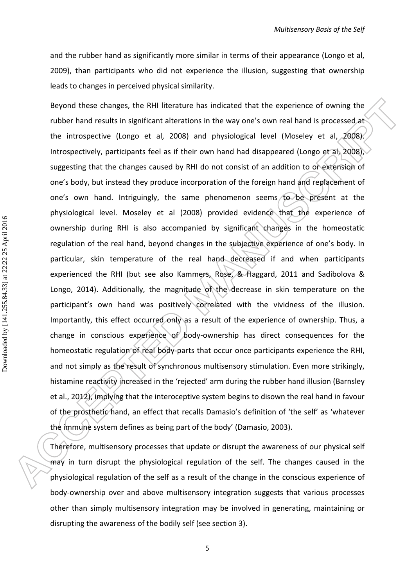and the rubber hand as significantly more similar in terms of their appearance (Longo et al, 2009), than participants who did not experience the illusion, suggesting that ownership leads to changes in perceived physical similarity.

Beyond these changes, the RHI literature has indicated that the experience of owning the rubber hand results in significant alterations in the way one's own real hand is processed at the introspective (Longo et al, 2008) and physiological level (Moseley et al, 2008). Introspectively, participants feel as if their own hand had disappeared (Longo et al, 2008), suggesting that the changes caused by RHI do not consist of an addition to or extension of one's body, but instead they produce incorporation of the foreign hand and replacement of one's own hand. Intriguingly, the same phenomenon seems to be present at the physiological level. Moseley et al (2008) provided evidence that the experience of ownership during RHI is also accompanied by significant changes in the homeostatic regulation of the real hand, beyond changes in the subjective experience of one's body. In particular, skin temperature of the real hand decreased if and when participants experienced the RHI (but see also Kammers, Rose, & Haggard, 2011 and Sadibolova & Longo, 2014). Additionally, the magnitude of the decrease in skin temperature on the participant's own hand was positively correlated with the vividness of the illusion. Importantly, this effect occurred only as a result of the experience of ownership. Thus, a change in conscious experience of body-ownership has direct consequences for the homeostatic regulation of real body-parts that occur once participants experience the RHI, and not simply as the result of synchronous multisensory stimulation. Even more strikingly, histamine reactivity increased in the 'rejected' arm during the rubber hand illusion (Barnsley et al., 2012), implying that the interoceptive system begins to disown the real hand in favour of the prosthetic hand, an effect that recalls Damasio's definition of 'the self' as 'whatever the immune system defines as being part of the body' (Damasio, 2003).

Therefore, multisensory processes that update or disrupt the awareness of our physical self may in turn disrupt the physiological regulation of the self. The changes caused in the physiological regulation of the self as a result of the change in the conscious experience of body-ownership over and above multisensory integration suggests that various processes other than simply multisensory integration may be involved in generating, maintaining or disrupting the awareness of the bodily self (see section 3).

5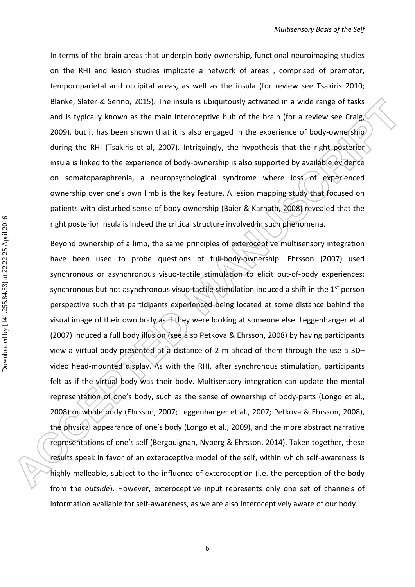In terms of the brain areas that underpin body-ownership, functional neuroimaging studies on the RHI and lesion studies implicate a network of areas , comprised of premotor, temporoparietal and occipital areas, as well as the insula (for review see Tsakiris 2010; Blanke, Slater & Serino, 2015). The insula is ubiquitously activated in a wide range of tasks and is typically known as the main interoceptive hub of the brain (for a review see Craig, 2009), but it has been shown that it is also engaged in the experience of body-ownership during the RHI (Tsakiris et al, 2007). Intriguingly, the hypothesis that the right posterior insula is linked to the experience of body-ownership is also supported by available evidence on somatoparaphrenia, a neuropsychological syndrome where loss of experienced ownership over one's own limb is the key feature. A lesion mapping study that focused on patients with disturbed sense of body ownership (Baier & Karnath, 2008) revealed that the right posterior insula is indeed the critical structure involved in such phenomena.

Beyond ownership of a limb, the same principles of exteroceptive multisensory integration have been used to probe questions of full-body-ownership. Ehrsson (2007) used synchronous or asynchronous visuo-tactile stimulation to elicit out-of-body experiences: synchronous but not asynchronous visuo-tactile stimulation induced a shift in the 1<sup>st</sup> person perspective such that participants experienced being located at some distance behind the visual image of their own body as if they were looking at someone else. Leggenhanger et al (2007) induced a full body illusion (see also Petkova & Ehrsson, 2008) by having participants view a virtual body presented at a distance of 2 m ahead of them through the use a 3D– video head-mounted display. As with the RHI, after synchronous stimulation, participants felt as if the virtual body was their body. Multisensory integration can update the mental representation of one's body, such as the sense of ownership of body-parts (Longo et al., 2008) or whole body (Ehrsson, 2007; Leggenhanger et al., 2007; Petkova & Ehrsson, 2008), the physical appearance of one's body (Longo et al., 2009), and the more abstract narrative representations of one's self (Bergouignan, Nyberg & Ehrsson, 2014). Taken together, these results speak in favor of an exteroceptive model of the self, within which self-awareness is highly malleable, subject to the influence of exteroception (i.e. the perception of the body from the *outside*). However, exteroceptive input represents only one set of channels of information available for self-awareness, as we are also interoceptively aware of our body.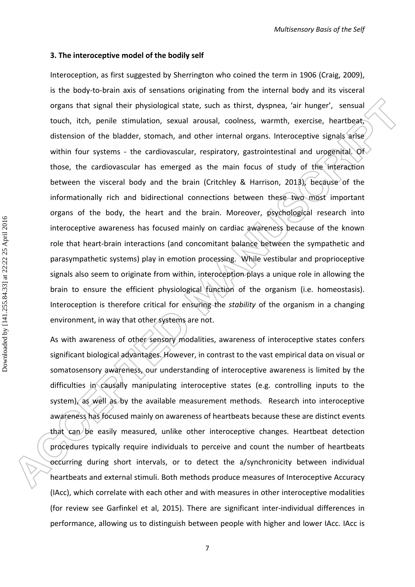#### **3. The interoceptive model of the bodily self**

Interoception, as first suggested by Sherrington who coined the term in 1906 (Craig, 2009), is the body-to-brain axis of sensations originating from the internal body and its visceral organs that signal their physiological state, such as thirst, dyspnea, 'air hunger', sensual touch, itch, penile stimulation, sexual arousal, coolness, warmth, exercise, heartbeat, distension of the bladder, stomach, and other internal organs. Interoceptive signals arise within four systems - the cardiovascular, respiratory, gastrointestinal and urogenital. Of those, the cardiovascular has emerged as the main focus of study of the interaction between the visceral body and the brain (Critchley & Harrison, 2013), because of the informationally rich and bidirectional connections between these two most important organs of the body, the heart and the brain. Moreover, psychological research into interoceptive awareness has focused mainly on cardiac awareness because of the known role that heart-brain interactions (and concomitant balance between the sympathetic and parasympathetic systems) play in emotion processing. While vestibular and proprioceptive signals also seem to originate from within, interoception plays a unique role in allowing the brain to ensure the efficient physiological function of the organism (i.e. homeostasis). Interoception is therefore critical for ensuring the *stability* of the organism in a changing environment, in way that other systems are not.

As with awareness of other sensory modalities, awareness of interoceptive states confers significant biological advantages. However, in contrast to the vast empirical data on visual or somatosensory awareness, our understanding of interoceptive awareness is limited by the difficulties in causally manipulating interoceptive states (e.g. controlling inputs to the system), as well as by the available measurement methods. Research into interoceptive awareness has focused mainly on awareness of heartbeats because these are distinct events that can be easily measured, unlike other interoceptive changes. Heartbeat detection procedures typically require individuals to perceive and count the number of heartbeats occurring during short intervals, or to detect the a/synchronicity between individual heartbeats and external stimuli. Both methods produce measures of Interoceptive Accuracy (IAcc), which correlate with each other and with measures in other interoceptive modalities (for review see Garfinkel et al, 2015). There are significant inter-individual differences in performance, allowing us to distinguish between people with higher and lower IAcc. IAcc is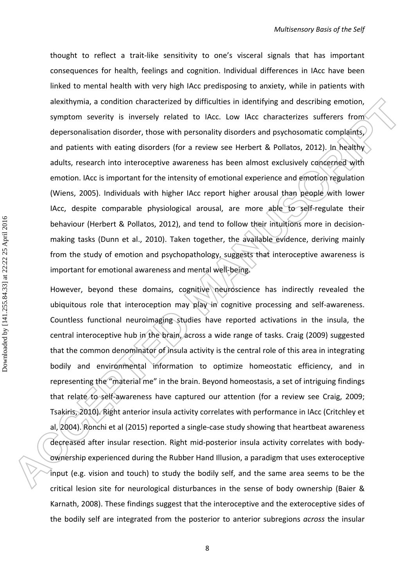thought to reflect a trait-like sensitivity to one's visceral signals that has important consequences for health, feelings and cognition. Individual differences in IAcc have been linked to mental health with very high IAcc predisposing to anxiety, while in patients with alexithymia, a condition characterized by difficulties in identifying and describing emotion, symptom severity is inversely related to IAcc. Low IAcc characterizes sufferers from depersonalisation disorder, those with personality disorders and psychosomatic complaints, and patients with eating disorders (for a review see Herbert & Pollatos, 2012). In healthy adults, research into interoceptive awareness has been almost exclusively concerned with emotion. IAcc is important for the intensity of emotional experience and emotion regulation (Wiens, 2005). Individuals with higher IAcc report higher arousal than people with lower IAcc, despite comparable physiological arousal, are more able to self-regulate their behaviour (Herbert & Pollatos, 2012), and tend to follow their intuitions more in decisionmaking tasks (Dunn et al., 2010). Taken together, the available evidence, deriving mainly from the study of emotion and psychopathology, suggests that interoceptive awareness is important for emotional awareness and mental well-being.

However, beyond these domains, cognitive neuroscience has indirectly revealed the ubiquitous role that interoception may play in cognitive processing and self-awareness. Countless functional neuroimaging studies have reported activations in the insula, the central interoceptive hub in the brain, across a wide range of tasks. Craig (2009) suggested that the common denominator of insula activity is the central role of this area in integrating bodily and environmental information to optimize homeostatic efficiency, and in representing the "material me" in the brain. Beyond homeostasis, a set of intriguing findings that relate to self-awareness have captured our attention (for a review see Craig, 2009; Tsakiris, 2010). Right anterior insula activity correlates with performance in IAcc (Critchley et al, 2004). Ronchi et al (2015) reported a single-case study showing that heartbeat awareness decreased after insular resection. Right mid-posterior insula activity correlates with bodyownership experienced during the Rubber Hand Illusion, a paradigm that uses exteroceptive input (e.g. vision and touch) to study the bodily self, and the same area seems to be the critical lesion site for neurological disturbances in the sense of body ownership (Baier & Karnath, 2008). These findings suggest that the interoceptive and the exteroceptive sides of the bodily self are integrated from the posterior to anterior subregions *across* the insular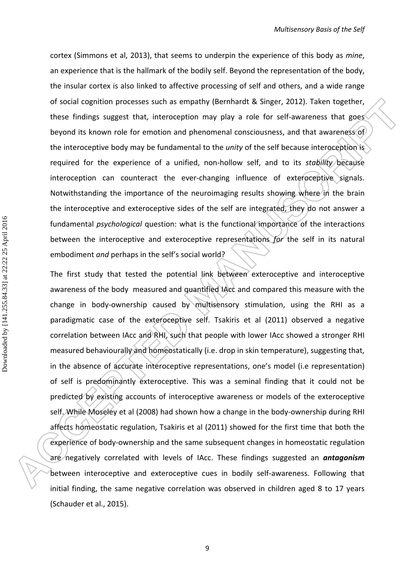cortex (Simmons et al, 2013), that seems to underpin the experience of this body as *mine*, an experience that is the hallmark of the bodily self. Beyond the representation of the body, the insular cortex is also linked to affective processing of self and others, and a wide range of social cognition processes such as empathy (Bernhardt & Singer, 2012). Taken together, these findings suggest that, interoception may play a role for self-awareness that goes beyond its known role for emotion and phenomenal consciousness, and that awareness of the interoceptive body may be fundamental to the *unity* of the self because interoception is required for the experience of a unified, non-hollow self, and to its *stability* because interoception can counteract the ever-changing influence of exteroceptive signals. Notwithstanding the importance of the neuroimaging results showing where in the brain the interoceptive and exteroceptive sides of the self are integrated, they do not answer a fundamental *psychological* question: what is the functional importance of the interactions between the interoceptive and exteroceptive representations *for* the self in its natural embodiment *and* perhaps in the self's social world?

The first study that tested the potential link between exteroceptive and interoceptive awareness of the body measured and quantified IAcc and compared this measure with the change in body-ownership caused by multisensory stimulation, using the RHI as a paradigmatic case of the exteroceptive self. Tsakiris et al (2011) observed a negative correlation between IAcc and RHI, such that people with lower IAcc showed a stronger RHI measured behaviourally and homeostatically (i.e. drop in skin temperature), suggesting that, in the absence of accurate interoceptive representations, one's model (i.e representation) of self is predominantly exteroceptive. This was a seminal finding that it could not be predicted by existing accounts of interoceptive awareness or models of the exteroceptive self. While Moseley et al (2008) had shown how a change in the body-ownership during RHI affects homeostatic regulation, Tsakiris et al (2011) showed for the first time that both the experience of body-ownership and the same subsequent changes in homeostatic regulation are negatively correlated with levels of IAcc. These findings suggested an *antagonism* between interoceptive and exteroceptive cues in bodily self-awareness. Following that initial finding, the same negative correlation was observed in children aged 8 to 17 years (Schauder et al., 2015).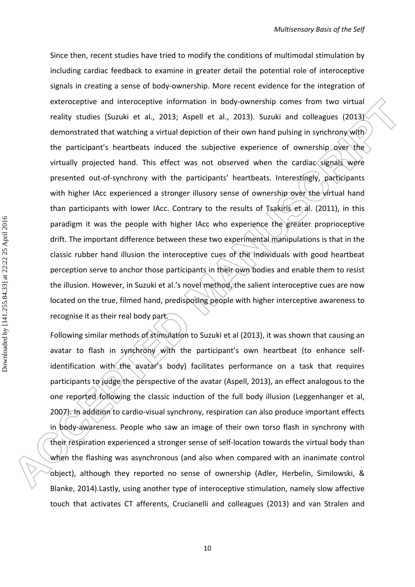Since then, recent studies have tried to modify the conditions of multimodal stimulation by including cardiac feedback to examine in greater detail the potential role of interoceptive signals in creating a sense of body-ownership. More recent evidence for the integration of exteroceptive and interoceptive information in body-ownership comes from two virtual reality studies (Suzuki et al., 2013; Aspell et al., 2013). Suzuki and colleagues (2013) demonstrated that watching a virtual depiction of their own hand pulsing in synchrony with the participant's heartbeats induced the subjective experience of ownership over the virtually projected hand. This effect was not observed when the cardiac signals were presented out-of-synchrony with the participants' heartbeats. Interestingly, participants with higher IAcc experienced a stronger illusory sense of ownership over the virtual hand than participants with lower IAcc. Contrary to the results of Tsakiris et al. (2011), in this paradigm it was the people with higher IAcc who experience the greater proprioceptive drift. The important difference between these two experimental manipulations is that in the classic rubber hand illusion the interoceptive cues of the individuals with good heartbeat perception serve to anchor those participants in their own bodies and enable them to resist the illusion. However, in Suzuki et al.'s novel method, the salient interoceptive cues are now located on the true, filmed hand, predisposing people with higher interceptive awareness to recognise it as their real body part.

Following similar methods of stimulation to Suzuki et al (2013), it was shown that causing an avatar to flash in synchrony with the participant's own heartbeat (to enhance selfidentification with the avatar's body) facilitates performance on a task that requires participants to judge the perspective of the avatar (Aspell, 2013), an effect analogous to the one reported following the classic induction of the full body illusion (Leggenhanger et al, 2007). In addition to cardio-visual synchrony, respiration can also produce important effects in body-awareness. People who saw an image of their own torso flash in synchrony with their respiration experienced a stronger sense of self-location towards the virtual body than when the flashing was asynchronous (and also when compared with an inanimate control object), although they reported no sense of ownership (Adler, Herbelin, Similowski, & Blanke, 2014).Lastly, using another type of interoceptive stimulation, namely slow affective touch that activates CT afferents, Crucianelli and colleagues (2013) and van Stralen and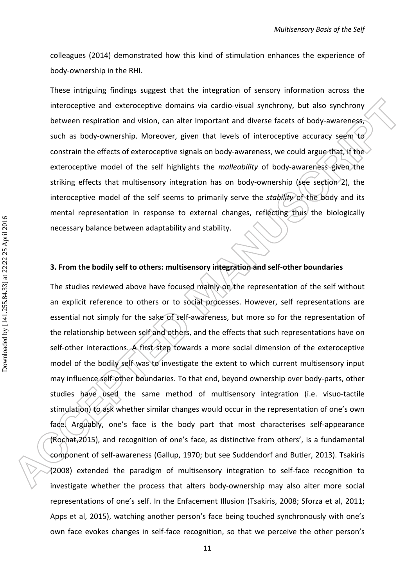colleagues (2014) demonstrated how this kind of stimulation enhances the experience of body-ownership in the RHI.

These intriguing findings suggest that the integration of sensory information across the interoceptive and exteroceptive domains via cardio-visual synchrony, but also synchrony between respiration and vision, can alter important and diverse facets of body-awareness, such as body-ownership. Moreover, given that levels of interoceptive accuracy seem to constrain the effects of exteroceptive signals on body-awareness, we could argue that, if the exteroceptive model of the self highlights the *malleability* of body-awareness given the striking effects that multisensory integration has on body-ownership (see section 2), the interoceptive model of the self seems to primarily serve the *stability* of the body and its mental representation in response to external changes, reflecting thus the biologically necessary balance between adaptability and stability.

### **3. From the bodily self to others: multisensory integration and self-other boundaries**

The studies reviewed above have focused mainly on the representation of the self without an explicit reference to others or to social processes. However, self representations are essential not simply for the sake of self-awareness, but more so for the representation of the relationship between self and others, and the effects that such representations have on self-other interactions. A first step towards a more social dimension of the exteroceptive model of the bodily self was to investigate the extent to which current multisensory input may influence self-other boundaries. To that end, beyond ownership over body-parts, other studies have used the same method of multisensory integration (i.e. visuo-tactile stimulation) to ask whether similar changes would occur in the representation of one's own face. Arguably, one's face is the body part that most characterises self-appearance (Rochat,2015), and recognition of one's face, as distinctive from others', is a fundamental component of self-awareness (Gallup, 1970; but see Suddendorf and Butler, 2013). Tsakiris (2008) extended the paradigm of multisensory integration to self-face recognition to investigate whether the process that alters body-ownership may also alter more social representations of one's self. In the Enfacement Illusion (Tsakiris, 2008; Sforza et al, 2011; Apps et al, 2015), watching another person's face being touched synchronously with one's own face evokes changes in self-face recognition, so that we perceive the other person's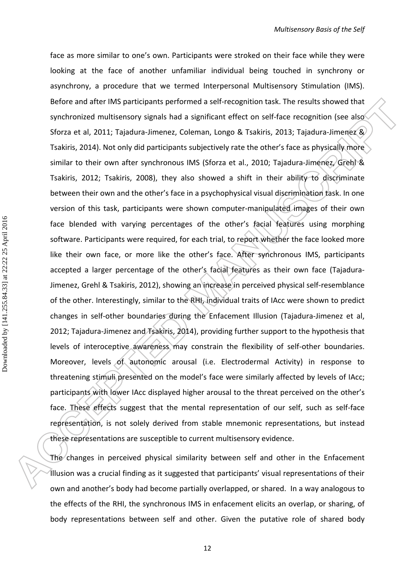face as more similar to one's own. Participants were stroked on their face while they were looking at the face of another unfamiliar individual being touched in synchrony or asynchrony, a procedure that we termed Interpersonal Multisensory Stimulation (IMS). Before and after IMS participants performed a self-recognition task. The results showed that synchronized multisensory signals had a significant effect on self-face recognition (see also Sforza et al, 2011; Tajadura-Jimenez, Coleman, Longo & Tsakiris, 2013; Tajadura-Jimenez & Tsakiris, 2014). Not only did participants subjectively rate the other's face as physically more similar to their own after synchronous IMS (Sforza et al., 2010; Tajadura-Jimenez, Grehl & Tsakiris, 2012; Tsakiris, 2008), they also showed a shift in their ability to discriminate between their own and the other's face in a psychophysical visual discrimination task. In one version of this task, participants were shown computer-manipulated images of their own face blended with varying percentages of the other's facial features using morphing software. Participants were required, for each trial, to report whether the face looked more like their own face, or more like the other's face. After synchronous IMS, participants accepted a larger percentage of the other's facial features as their own face (Tajadura-Jimenez, Grehl & Tsakiris, 2012), showing an increase in perceived physical self-resemblance of the other. Interestingly, similar to the RHI, individual traits of IAcc were shown to predict changes in self-other boundaries during the Enfacement Illusion (Tajadura-Jimenez et al, 2012; Tajadura-Jimenez and Tsakiris, 2014), providing further support to the hypothesis that levels of interoceptive awareness may constrain the flexibility of self-other boundaries. Moreover, levels of autonomic arousal (i.e. Electrodermal Activity) in response to threatening stimuli presented on the model's face were similarly affected by levels of IAcc; participants with lower IAcc displayed higher arousal to the threat perceived on the other's face. These effects suggest that the mental representation of our self, such as self-face representation, is not solely derived from stable mnemonic representations, but instead these representations are susceptible to current multisensory evidence.

The changes in perceived physical similarity between self and other in the Enfacement Illusion was a crucial finding as it suggested that participants' visual representations of their own and another's body had become partially overlapped, or shared. In a way analogous to the effects of the RHI, the synchronous IMS in enfacement elicits an overlap, or sharing, of body representations between self and other. Given the putative role of shared body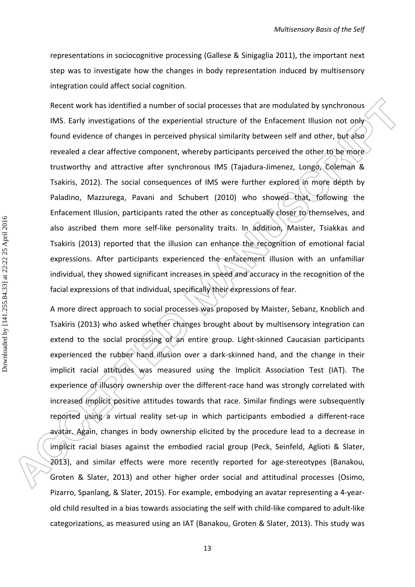representations in sociocognitive processing (Gallese & Sinigaglia 2011), the important next step was to investigate how the changes in body representation induced by multisensory integration could affect social cognition.

Recent work has identified a number of social processes that are modulated by synchronous IMS. Early investigations of the experiential structure of the Enfacement Illusion not only found evidence of changes in perceived physical similarity between self and other, but also revealed a clear affective component, whereby participants perceived the other to be more trustworthy and attractive after synchronous IMS (Tajadura-Jimenez, Longo, Coleman & Tsakiris, 2012). The social consequences of IMS were further explored in more depth by Paladino, Mazzurega, Pavani and Schubert (2010) who showed that, following the Enfacement Illusion, participants rated the other as conceptually closer to themselves, and also ascribed them more self-like personality traits. In addition, Maister, Tsiakkas and Tsakiris (2013) reported that the illusion can enhance the recognition of emotional facial expressions. After participants experienced the enfacement illusion with an unfamiliar individual, they showed significant increases in speed and accuracy in the recognition of the facial expressions of that individual, specifically their expressions of fear.

A more direct approach to social processes was proposed by Maister, Sebanz, Knoblich and Tsakiris (2013) who asked whether changes brought about by multisensory integration can extend to the social processing of an entire group. Light-skinned Caucasian participants experienced the rubber hand illusion over a dark-skinned hand, and the change in their implicit racial attitudes was measured using the Implicit Association Test (IAT). The experience of illusory ownership over the different-race hand was strongly correlated with increased implicit positive attitudes towards that race. Similar findings were subsequently reported using a virtual reality set-up in which participants embodied a different-race avatar. Again, changes in body ownership elicited by the procedure lead to a decrease in implicit racial biases against the embodied racial group (Peck, Seinfeld, Aglioti & Slater, 2013), and similar effects were more recently reported for age-stereotypes (Banakou, Groten & Slater, 2013) and other higher order social and attitudinal processes (Osimo, Pizarro, Spanlang, & Slater, 2015). For example, embodying an avatar representing a 4-yearold child resulted in a bias towards associating the self with child-like compared to adult-like categorizations, as measured using an IAT (Banakou, Groten & Slater, 2013). This study was

13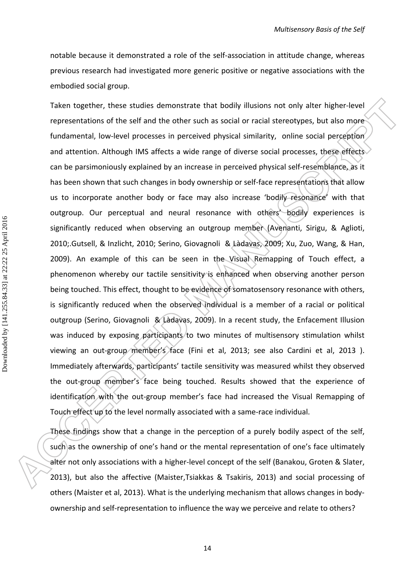notable because it demonstrated a role of the self-association in attitude change, whereas previous research had investigated more generic positive or negative associations with the embodied social group.

Taken together, these studies demonstrate that bodily illusions not only alter higher-level representations of the self and the other such as social or racial stereotypes, but also more fundamental, low-level processes in perceived physical similarity, online social perception and attention. Although IMS affects a wide range of diverse social processes, these effects can be parsimoniously explained by an increase in perceived physical self-resemblance, as it has been shown that such changes in body ownership or self-face representations that allow us to incorporate another body or face may also increase 'bodily resonance' with that outgroup. Our perceptual and neural resonance with others' bodily experiences is significantly reduced when observing an outgroup member (Avenanti, Sirigu, & Aglioti, 2010;.Gutsell, & Inzlicht, 2010; Serino, Giovagnoli & Làdavas, 2009; Xu, Zuo, Wang, & Han, 2009). An example of this can be seen in the Visual Remapping of Touch effect, a phenomenon whereby our tactile sensitivity is enhanced when observing another person being touched. This effect, thought to be evidence of somatosensory resonance with others, is significantly reduced when the observed individual is a member of a racial or political outgroup (Serino, Giovagnoli & Làdavas, 2009). In a recent study, the Enfacement Illusion was induced by exposing participants to two minutes of multisensory stimulation whilst viewing an out-group member's face (Fini et al, 2013; see also Cardini et al, 2013 ). Immediately afterwards, participants' tactile sensitivity was measured whilst they observed the out-group member's face being touched. Results showed that the experience of identification with the out-group member's face had increased the Visual Remapping of Touch effect up to the level normally associated with a same-race individual.

These findings show that a change in the perception of a purely bodily aspect of the self, such as the ownership of one's hand or the mental representation of one's face ultimately alter not only associations with a higher-level concept of the self (Banakou, Groten & Slater, 2013), but also the affective (Maister,Tsiakkas & Tsakiris, 2013) and social processing of others (Maister et al, 2013). What is the underlying mechanism that allows changes in bodyownership and self-representation to influence the way we perceive and relate to others?

14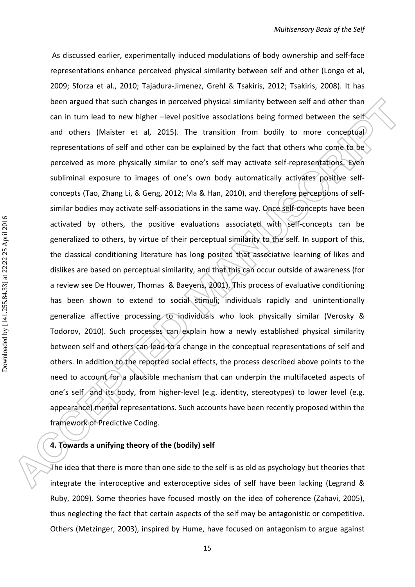As discussed earlier, experimentally induced modulations of body ownership and self-face representations enhance perceived physical similarity between self and other (Longo et al, 2009; Sforza et al., 2010; Tajadura-Jimenez, Grehl & Tsakiris, 2012; Tsakiris, 2008). It has been argued that such changes in perceived physical similarity between self and other than can in turn lead to new higher -level positive associations being formed between the self and others (Maister et al, 2015). The transition from bodily to more conceptual representations of self and other can be explained by the fact that others who come to be perceived as more physically similar to one's self may activate self-representations. Even subliminal exposure to images of one's own body automatically activates positive selfconcepts (Tao, Zhang Li, & Geng, 2012; Ma & Han, 2010), and therefore perceptions of selfsimilar bodies may activate self-associations in the same way. Once self-concepts have been activated by others, the positive evaluations associated with self-concepts can be generalized to others, by virtue of their perceptual similarity to the self. In support of this, the classical conditioning literature has long posited that associative learning of likes and dislikes are based on perceptual similarity, and that this can occur outside of awareness (for a review see De Houwer, Thomas & Baeyens, 2001). This process of evaluative conditioning has been shown to extend to social stimuli; individuals rapidly and unintentionally generalize affective processing to individuals who look physically similar (Verosky & Todorov, 2010). Such processes can explain how a newly established physical similarity between self and others can lead to a change in the conceptual representations of self and others. In addition to the reported social effects, the process described above points to the need to account for a plausible mechanism that can underpin the multifaceted aspects of one's self and its body, from higher-level (e.g. identity, stereotypes) to lower level (e.g. appearance) mental representations. Such accounts have been recently proposed within the framework of Predictive Coding.

#### **4. Towards a unifying theory of the (bodily) self**

The idea that there is more than one side to the self is as old as psychology but theories that integrate the interoceptive and exteroceptive sides of self have been lacking (Legrand & Ruby, 2009). Some theories have focused mostly on the idea of coherence (Zahavi, 2005), thus neglecting the fact that certain aspects of the self may be antagonistic or competitive. Others (Metzinger, 2003), inspired by Hume, have focused on antagonism to argue against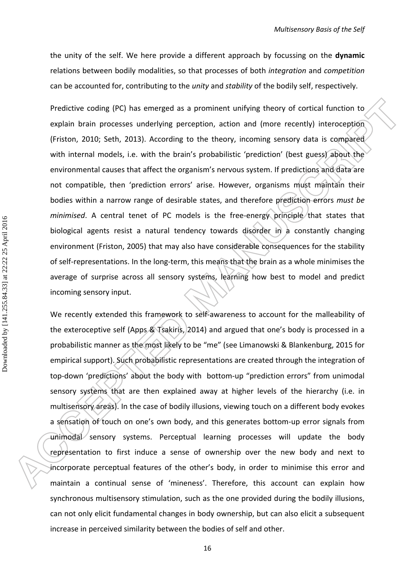the unity of the self. We here provide a different approach by focussing on the **dynamic** relations between bodily modalities, so that processes of both *integration* and *competition* can be accounted for, contributing to the *unity* and *stability* of the bodily self, respectively.

Predictive coding (PC) has emerged as a prominent unifying theory of cortical function to explain brain processes underlying perception, action and (more recently) interoception (Friston, 2010; Seth, 2013). According to the theory, incoming sensory data is compared with internal models, i.e. with the brain's probabilistic 'prediction' (best guess) about the environmental causes that affect the organism's nervous system. If predictions and data are not compatible, then 'prediction errors' arise. However, organisms must maintain their bodies within a narrow range of desirable states, and therefore prediction errors *must be minimised*. A central tenet of PC models is the free-energy principle that states that biological agents resist a natural tendency towards disorder in a constantly changing environment (Friston, 2005) that may also have considerable consequences for the stability of self-representations. In the long-term, this means that the brain as a whole minimises the average of surprise across all sensory systems, learning how best to model and predict incoming sensory input.

We recently extended this framework to self-awareness to account for the malleability of the exteroceptive self (Apps & Tsakiris, 2014) and argued that one's body is processed in a probabilistic manner as the most likely to be "me" (see Limanowski & Blankenburg, 2015 for empirical support). Such probabilistic representations are created through the integration of top-down 'predictions' about the body with bottom-up "prediction errors" from unimodal sensory systems that are then explained away at higher levels of the hierarchy (i.e. in multisensory areas). In the case of bodily illusions, viewing touch on a different body evokes a sensation of touch on one's own body, and this generates bottom-up error signals from unimodal sensory systems. Perceptual learning processes will update the body representation to first induce a sense of ownership over the new body and next to incorporate perceptual features of the other's body, in order to minimise this error and maintain a continual sense of 'mineness'. Therefore, this account can explain how synchronous multisensory stimulation, such as the one provided during the bodily illusions, can not only elicit fundamental changes in body ownership, but can also elicit a subsequent increase in perceived similarity between the bodies of self and other.

16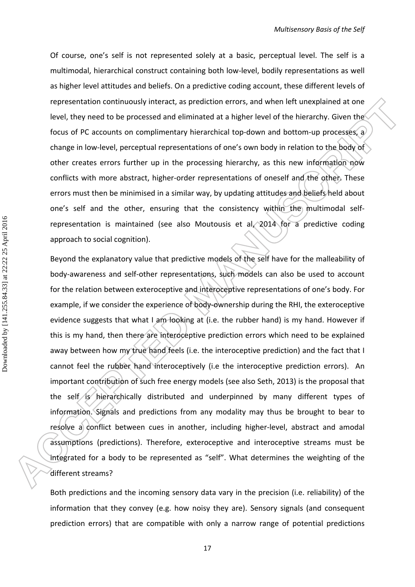Of course, one's self is not represented solely at a basic, perceptual level. The self is a multimodal, hierarchical construct containing both low-level, bodily representations as well as higher level attitudes and beliefs. On a predictive coding account, these different levels of representation continuously interact, as prediction errors, and when left unexplained at one level, they need to be processed and eliminated at a higher level of the hierarchy. Given the focus of PC accounts on complimentary hierarchical top-down and bottom-up processes, a change in low-level, perceptual representations of one's own body in relation to the body of other creates errors further up in the processing hierarchy, as this new information now conflicts with more abstract, higher-order representations of oneself and the other. These errors must then be minimised in a similar way, by updating attitudes and beliefs held about one's self and the other, ensuring that the consistency within the multimodal selfrepresentation is maintained (see also Moutousis et al, 2014 for a predictive coding approach to social cognition).

Beyond the explanatory value that predictive models of the self have for the malleability of body-awareness and self-other representations, such models can also be used to account for the relation between exteroceptive and interoceptive representations of one's body. For example, if we consider the experience of body-ownership during the RHI, the exteroceptive evidence suggests that what I am looking at (i.e. the rubber hand) is my hand. However if this is my hand, then there are interoceptive prediction errors which need to be explained away between how my true hand feels (i.e. the interoceptive prediction) and the fact that I cannot feel the rubber hand interoceptively (i.e the interoceptive prediction errors). An important contribution of such free energy models (see also Seth, 2013) is the proposal that the self is hierarchically distributed and underpinned by many different types of information. Signals and predictions from any modality may thus be brought to bear to resolve a conflict between cues in another, including higher-level, abstract and amodal assumptions (predictions). Therefore, exteroceptive and interoceptive streams must be integrated for a body to be represented as "self". What determines the weighting of the different streams?

Both predictions and the incoming sensory data vary in the precision (i.e. reliability) of the information that they convey (e.g. how noisy they are). Sensory signals (and consequent prediction errors) that are compatible with only a narrow range of potential predictions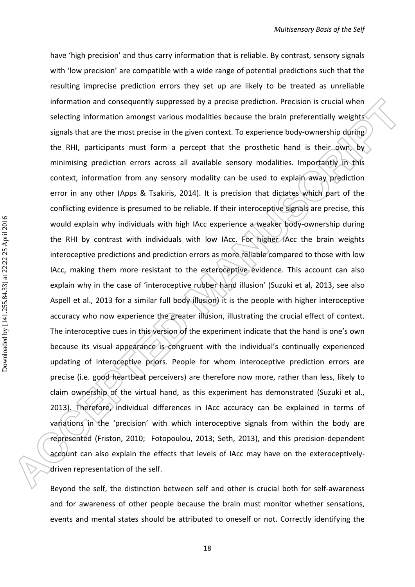have 'high precision' and thus carry information that is reliable. By contrast, sensory signals with 'low precision' are compatible with a wide range of potential predictions such that the resulting imprecise prediction errors they set up are likely to be treated as unreliable information and consequently suppressed by a precise prediction. Precision is crucial when selecting information amongst various modalities because the brain preferentially weights signals that are the most precise in the given context. To experience body-ownership during the RHI, participants must form a percept that the prosthetic hand is their own, by minimising prediction errors across all available sensory modalities. Importantly in this context, information from any sensory modality can be used to explain away prediction error in any other (Apps & Tsakiris, 2014). It is precision that dictates which part of the conflicting evidence is presumed to be reliable. If their interoceptive signals are precise, this would explain why individuals with high IAcc experience a weaker body-ownership during the RHI by contrast with individuals with low IAcc. For higher IAcc the brain weights interoceptive predictions and prediction errors as more reliable compared to those with low IAcc, making them more resistant to the exteroceptive evidence. This account can also explain why in the case of 'interoceptive rubber hand illusion' (Suzuki et al, 2013, see also Aspell et al., 2013 for a similar full body illusion) it is the people with higher interoceptive accuracy who now experience the greater illusion, illustrating the crucial effect of context. The interoceptive cues in this version of the experiment indicate that the hand is one's own because its visual appearance is congruent with the individual's continually experienced updating of interoceptive priors. People for whom interoceptive prediction errors are precise (i.e. good heartbeat perceivers) are therefore now more, rather than less, likely to claim ownership of the virtual hand, as this experiment has demonstrated (Suzuki et al., 2013). Therefore, individual differences in IAcc accuracy can be explained in terms of variations in the 'precision' with which interoceptive signals from within the body are represented (Friston, 2010; Fotopoulou, 2013; Seth, 2013), and this precision-dependent account can also explain the effects that levels of IAcc may have on the exteroceptivelydriven representation of the self.

Beyond the self, the distinction between self and other is crucial both for self-awareness and for awareness of other people because the brain must monitor whether sensations, events and mental states should be attributed to oneself or not. Correctly identifying the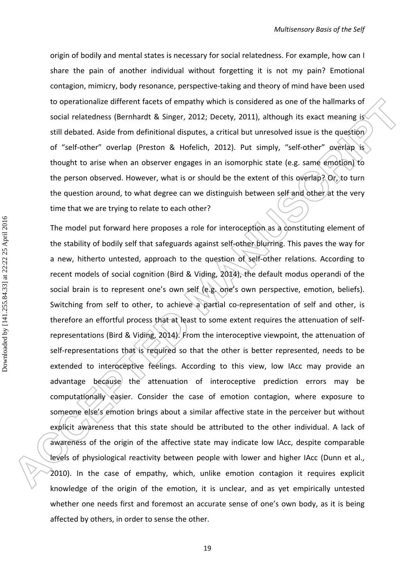origin of bodily and mental states is necessary for social relatedness. For example, how can I share the pain of another individual without forgetting it is not my pain? Emotional contagion, mimicry, body resonance, perspective-taking and theory of mind have been used to operationalize different facets of empathy which is considered as one of the hallmarks of social relatedness (Bernhardt & Singer, 2012; Decety, 2011), although its exact meaning is still debated. Aside from definitional disputes, a critical but unresolved issue is the question of "self-other" overlap (Preston & Hofelich, 2012). Put simply, "self-other" overlap is thought to arise when an observer engages in an isomorphic state (e.g. same emotion) to the person observed. However, what is or should be the extent of this overlap? Or, to turn the question around, to what degree can we distinguish between self and other at the very time that we are trying to relate to each other?

The model put forward here proposes a role for interoception as a constituting element of the stability of bodily self that safeguards against self-other blurring. This paves the way for a new, hitherto untested, approach to the question of self-other relations. According to recent models of social cognition (Bird & Viding, 2014), the default modus operandi of the social brain is to represent one's own self (e.g. one's own perspective, emotion, beliefs). Switching from self to other, to achieve a partial co-representation of self and other, is therefore an effortful process that at least to some extent requires the attenuation of selfrepresentations (Bird & Viding, 2014). From the interoceptive viewpoint, the attenuation of self-representations that is required so that the other is better represented, needs to be extended to interoceptive feelings. According to this view, low IAcc may provide an advantage because the attenuation of interoceptive prediction errors may be computationally easier. Consider the case of emotion contagion, where exposure to someone else's emotion brings about a similar affective state in the perceiver but without explicit awareness that this state should be attributed to the other individual. A lack of awareness of the origin of the affective state may indicate low IAcc, despite comparable levels of physiological reactivity between people with lower and higher IAcc (Dunn et al., 2010). In the case of empathy, which, unlike emotion contagion it requires explicit knowledge of the origin of the emotion, it is unclear, and as yet empirically untested whether one needs first and foremost an accurate sense of one's own body, as it is being affected by others, in order to sense the other.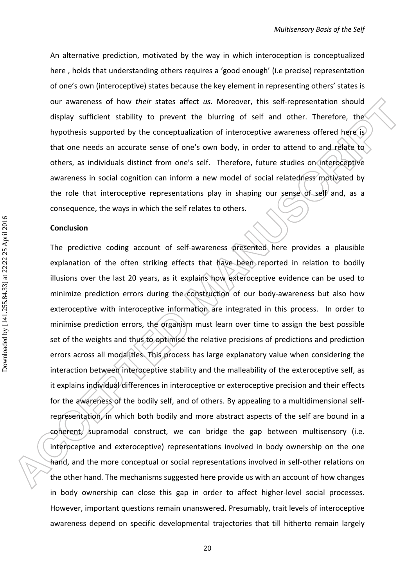An alternative prediction, motivated by the way in which interoception is conceptualized here , holds that understanding others requires a 'good enough' (i.e precise) representation of one's own (interoceptive) states because the key element in representing others' states is our awareness of how *their* states affect *us*. Moreover, this self-representation should display sufficient stability to prevent the blurring of self and other. Therefore, the hypothesis supported by the conceptualization of interoceptive awareness offered here is that one needs an accurate sense of one's own body, in order to attend to and relate to others, as individuals distinct from one's self. Therefore, future studies on interoceptive awareness in social cognition can inform a new model of social relatedness motivated by the role that interoceptive representations play in shaping our sense of self and, as a consequence, the ways in which the self relates to others.

#### **Conclusion**

The predictive coding account of self-awareness presented here provides a plausible explanation of the often striking effects that have been reported in relation to bodily illusions over the last 20 years, as it explains how exteroceptive evidence can be used to minimize prediction errors during the construction of our body-awareness but also how exteroceptive with interoceptive information are integrated in this process. In order to minimise prediction errors, the organism must learn over time to assign the best possible set of the weights and thus to optimise the relative precisions of predictions and prediction errors across all modalities. This process has large explanatory value when considering the interaction between interoceptive stability and the malleability of the exteroceptive self, as it explains individual differences in interoceptive or exteroceptive precision and their effects for the awareness of the bodily self, and of others. By appealing to a multidimensional selfrepresentation, in which both bodily and more abstract aspects of the self are bound in a coherent, supramodal construct, we can bridge the gap between multisensory (i.e. interoceptive and exteroceptive) representations involved in body ownership on the one hand, and the more conceptual or social representations involved in self-other relations on the other hand. The mechanisms suggested here provide us with an account of how changes in body ownership can close this gap in order to affect higher-level social processes. However, important questions remain unanswered. Presumably, trait levels of interoceptive awareness depend on specific developmental trajectories that till hitherto remain largely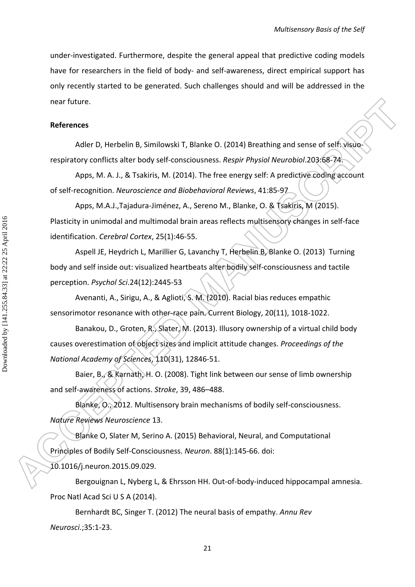under-investigated. Furthermore, despite the general appeal that predictive coding models have for researchers in the field of body- and self-awareness, direct empirical support has only recently started to be generated. Such challenges should and will be addressed in the near future.

#### **References**

Adler D, Herbelin B, Similowski T, Blanke O. (2014) Breathing and sense of self: visuorespiratory conflicts alter body self-consciousness. *Respir Physiol Neurobiol*.203:68-74.

Apps, M. A. J., & Tsakiris, M. (2014). The free energy self: A predictive coding account of self-recognition. *Neuroscience and Biobehavioral Reviews*, 41:85-97

Apps, M.A.J.,Tajadura-Jiménez, A., Sereno M., Blanke, O. & Tsakiris, M (2015). Plasticity in unimodal and multimodal brain areas reflects multisensory changes in self-face identification. *Cerebral Cortex*, 25(1):46-55.

Aspell JE, Heydrich L, Marillier G, Lavanchy T, Herbelin B, Blanke O. (2013) Turning body and self inside out: visualized heartbeats alter bodily self-consciousness and tactile perception. *Psychol Sci*.24(12):2445-53

Avenanti, A., Sirigu, A., & Aglioti, S. M. (2010). Racial bias reduces empathic sensorimotor resonance with other-race pain. Current Biology, 20(11), 1018-1022.

Banakou, D., Groten, R., Slater, M. (2013). Illusory ownership of a virtual child body causes overestimation of object sizes and implicit attitude changes. *Proceedings of the National Academy of Sciences*, 110(31), 12846-51.

Baier, B., & Karnath, H. O. (2008). Tight link between our sense of limb ownership and self-awareness of actions. *Stroke*, 39, 486–488.

Blanke, O., 2012. Multisensory brain mechanisms of bodily self-consciousness. *Nature Reviews Neuroscience* 13.

Blanke O, Slater M, Serino A. (2015) Behavioral, Neural, and Computational Principles of Bodily Self-Consciousness. *Neuron*. 88(1):145-66. doi:

10.1016/j.neuron.2015.09.029.

Bergouignan L, Nyberg L, & Ehrsson HH. Out-of-body-induced hippocampal amnesia. Proc Natl Acad Sci U S A (2014).

Bernhardt BC, Singer T. (2012) The neural basis of empathy. *Annu Rev Neurosci*.;35:1-23.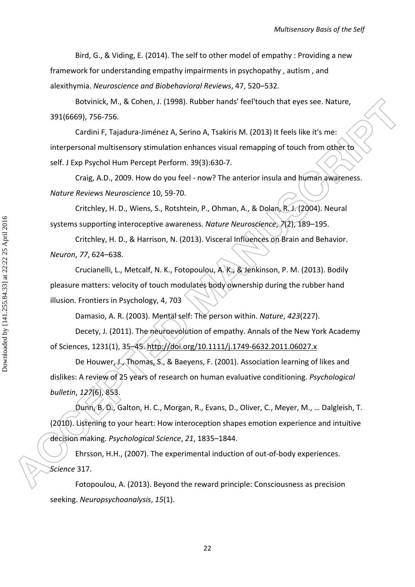Bird, G., & Viding, E. (2014). The self to other model of empathy : Providing a new framework for understanding empathy impairments in psychopathy , autism , and alexithymia. *Neuroscience and Biobehavioral Reviews*, 47, 520–532.

Botvinick, M., & Cohen, J. (1998). Rubber hands' feel'touch that eyes see. Nature, 391(6669), 756-756.

Cardini F, Tajadura-Jiménez A, Serino A, Tsakiris M. (2013) It feels like it's me: interpersonal multisensory stimulation enhances visual remapping of touch from other to self. J Exp Psychol Hum Percept Perform. 39(3):630-7.

Craig, A.D., 2009. How do you feel - now? The anterior insula and human awareness. *Nature Reviews Neuroscience* 10, 59-70.

Critchley, H. D., Wiens, S., Rotshtein, P., Ohman, A., & Dolan, R. J. (2004). Neural systems supporting interoceptive awareness. *Nature Neuroscience*, *7*(2), 189–195.

Critchley, H. D., & Harrison, N. (2013). Visceral Influences on Brain and Behavior. *Neuron*, *77*, 624–638.

Crucianelli, L., Metcalf, N. K., Fotopoulou, A. K., & Jenkinson, P. M. (2013). Bodily pleasure matters: velocity of touch modulates body ownership during the rubber hand illusion. Frontiers in Psychology, 4, 703

Damasio, A. R. (2003). Mental self: The person within. *Nature*, *423*(227).

Decety, J. (2011). The neuroevolution of empathy. Annals of the New York Academy of Sciences, 1231(1), 35–45. http://doi.org/10.1111/j.1749-6632.2011.06027.x

De Houwer, J., Thomas, S., & Baeyens, F. (2001). Association learning of likes and dislikes: A review of 25 years of research on human evaluative conditioning. *Psychological bulletin*, *127*(6), 853.

Dunn, B. D., Galton, H. C., Morgan, R., Evans, D., Oliver, C., Meyer, M., … Dalgleish, T. (2010). Listening to your heart: How interoception shapes emotion experience and intuitive decision making. *Psychological Science*, *21*, 1835–1844.

Ehrsson, H.H., (2007). The experimental induction of out-of-body experiences. *Science* 317.

Fotopoulou, A. (2013). Beyond the reward principle: Consciousness as precision seeking. *Neuropsychoanalysis*, *15*(1).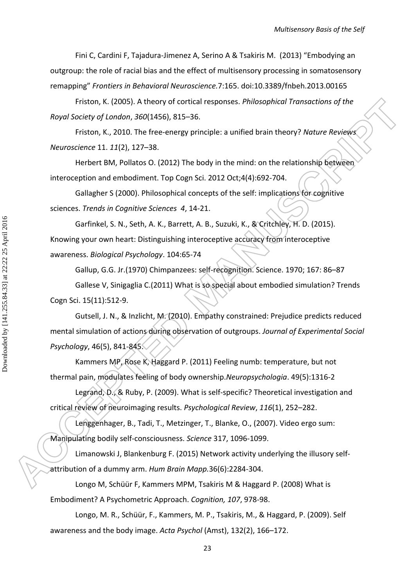Fini C, Cardini F, Tajadura-Jimenez A, Serino A & Tsakiris M. (2013) "Embodying an outgroup: the role of racial bias and the effect of multisensory processing in somatosensory remapping" *Frontiers in Behavioral Neuroscience.*7:165. doi:10.3389/fnbeh.2013.00165

Friston, K. (2005). A theory of cortical responses. *Philosophical Transactions of the Royal Society of London*, *360*(1456), 815–36.

Friston, K., 2010. The free-energy principle: a unified brain theory? *Nature Reviews Neuroscience* 11. *11*(2), 127–38.

Herbert BM, Pollatos O. (2012) The body in the mind: on the relationship between interoception and embodiment. Top Cogn Sci. 2012 Oct;4(4):692-704.

Gallagher S (2000). Philosophical concepts of the self: implications for cognitive sciences. *Trends in Cognitive Sciences 4*, 14-21.

Garfinkel, S. N., Seth, A. K., Barrett, A. B., Suzuki, K., & Critchley, H. D. (2015). Knowing your own heart: Distinguishing interoceptive accuracy from interoceptive awareness. *Biological Psychology*. 104:65-74

Gallup, G.G. Jr.(1970) Chimpanzees: self-recognition. Science. 1970; 167: 86–87 Gallese V, Sinigaglia C.(2011) What is so special about embodied simulation? Trends Cogn Sci. 15(11):512-9.

Gutsell, J. N., & Inzlicht, M. (2010). Empathy constrained: Prejudice predicts reduced mental simulation of actions during observation of outgroups. *Journal of Experimental Social Psychology*, 46(5), 841-845.

Kammers MP, Rose K, Haggard P. (2011) Feeling numb: temperature, but not thermal pain, modulates feeling of body ownership.*Neuropsychologia*. 49(5):1316-2

Legrand, D., & Ruby, P. (2009). What is self-specific? Theoretical investigation and critical review of neuroimaging results. *Psychological Review*, *116*(1), 252–282.

Lenggenhager, B., Tadi, T., Metzinger, T., Blanke, O., (2007). Video ergo sum: Manipulating bodily self-consciousness. *Science* 317, 1096-1099.

Limanowski J, Blankenburg F. (2015) Network activity underlying the illusory selfattribution of a dummy arm. *Hum Brain Mapp.*36(6):2284-304.

Longo M, Schüür F, Kammers MPM, Tsakiris M & Haggard P. (2008) What is Embodiment? A Psychometric Approach. *Cognition, 107*, 978-98.

Longo, M. R., Schüür, F., Kammers, M. P., Tsakiris, M., & Haggard, P. (2009). Self awareness and the body image. *Acta Psychol* (Amst), 132(2), 166–172.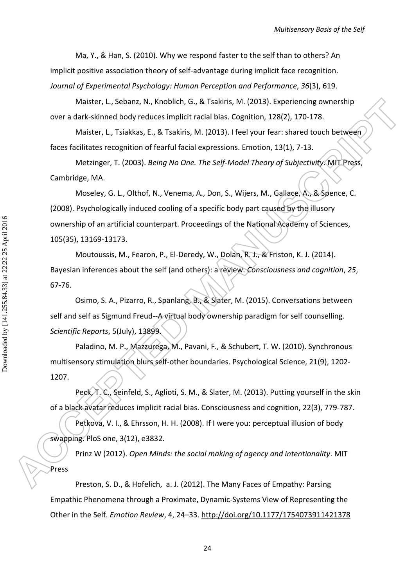Ma, Y., & Han, S. (2010). Why we respond faster to the self than to others? An implicit positive association theory of self-advantage during implicit face recognition. *Journal of Experimental Psychology: Human Perception and Performance*, *36*(3), 619.

Maister, L., Sebanz, N., Knoblich, G., & Tsakiris, M. (2013). Experiencing ownership over a dark-skinned body reduces implicit racial bias. Cognition, 128(2), 170-178.

Maister, L., Tsiakkas, E., & Tsakiris, M. (2013). I feel your fear: shared touch between faces facilitates recognition of fearful facial expressions. Emotion, 13(1), 7-13.

Metzinger, T. (2003). *Being No One. The Self-Model Theory of Subjectivity*. MIT Press, Cambridge, MA.

Moseley, G. L., Olthof, N., Venema, A., Don, S., Wijers, M., Gallace, A., & Spence, C. (2008). Psychologically induced cooling of a specific body part caused by the illusory ownership of an artificial counterpart. Proceedings of the National Academy of Sciences, 105(35), 13169-13173.

Moutoussis, M., Fearon, P., El-Deredy, W., Dolan, R. J., & Friston, K. J. (2014). Bayesian inferences about the self (and others): a review. *Consciousness and cognition*, *25*, 67-76.

Osimo, S. A., Pizarro, R., Spanlang, B., & Slater, M. (2015). Conversations between self and self as Sigmund Freud--A virtual body ownership paradigm for self counselling. *Scientific Reports*, 5(July), 13899.

Paladino, M. P., Mazzurega, M., Pavani, F., & Schubert, T. W. (2010). Synchronous multisensory stimulation blurs self-other boundaries. Psychological Science, 21(9), 1202- 1207.

Peck, T. C., Seinfeld, S., Aglioti, S. M., & Slater, M. (2013). Putting yourself in the skin of a black avatar reduces implicit racial bias. Consciousness and cognition, 22(3), 779-787.

Petkova, V. I., & Ehrsson, H. H. (2008). If I were you: perceptual illusion of body swapping. PloS one, 3(12), e3832.

Prinz W (2012). *Open Minds: the social making of agency and intentionality*. MIT Press

Preston, S. D., & Hofelich, a. J. (2012). The Many Faces of Empathy: Parsing Empathic Phenomena through a Proximate, Dynamic-Systems View of Representing the Other in the Self. *Emotion Review*, 4, 24–33. http://doi.org/10.1177/1754073911421378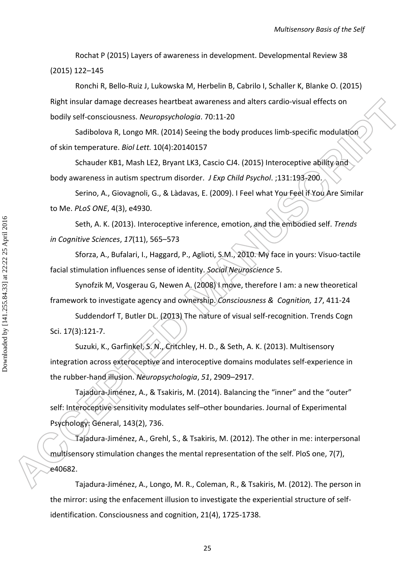Rochat P (2015) Layers of awareness in development. Developmental Review 38

(2015) 122–145

Ronchi R, Bello-Ruiz J, Lukowska M, Herbelin B, Cabrilo I, Schaller K, Blanke O. (2015) Right insular damage decreases heartbeat awareness and alters cardio-visual effects on bodily self-consciousness. *Neuropsychologia*. 70:11-20

Sadibolova R, Longo MR. (2014) Seeing the body produces limb-specific modulation of skin temperature. *Biol Lett.* 10(4):20140157

Schauder KB1, Mash LE2, Bryant LK3, Cascio CJ4. (2015) Interoceptive ability and body awareness in autism spectrum disorder. *J Exp Child Psychol*. ;131:193-200.

Serino, A., Giovagnoli, G., & Làdavas, E. (2009). I Feel what You Feel if You Are Similar to Me. *PLoS ONE*, 4(3), e4930.

Seth, A. K. (2013). Interoceptive inference, emotion, and the embodied self. *Trends in Cognitive Sciences*, *17*(11), 565–573

Sforza, A., Bufalari, I., Haggard, P., Aglioti, S.M., 2010. My face in yours: Visuo-tactile facial stimulation influences sense of identity. *Social Neuroscience* 5.

Synofzik M, Vosgerau G, Newen A. (2008) I move, therefore I am: a new theoretical framework to investigate agency and ownership. *Consciousness & Cognition, 17*, 411-24

Suddendorf T, Butler DL. (2013) The nature of visual self-recognition. Trends Cogn Sci. 17(3):121-7.

Suzuki, K., Garfinkel, S. N., Critchley, H. D., & Seth, A. K. (2013). Multisensory integration across exteroceptive and interoceptive domains modulates self-experience in the rubber-hand illusion. *Neuropsychologia*, *51*, 2909–2917.

Tajadura-Jiménez, A., & Tsakiris, M. (2014). Balancing the "inner" and the "outer" self: Interoceptive sensitivity modulates self–other boundaries. Journal of Experimental Psychology: General, 143(2), 736.

Tajadura-Jiménez, A., Grehl, S., & Tsakiris, M. (2012). The other in me: interpersonal multisensory stimulation changes the mental representation of the self. PloS one, 7(7), e40682.

Tajadura-Jiménez, A., Longo, M. R., Coleman, R., & Tsakiris, M. (2012). The person in the mirror: using the enfacement illusion to investigate the experiential structure of selfidentification. Consciousness and cognition, 21(4), 1725-1738.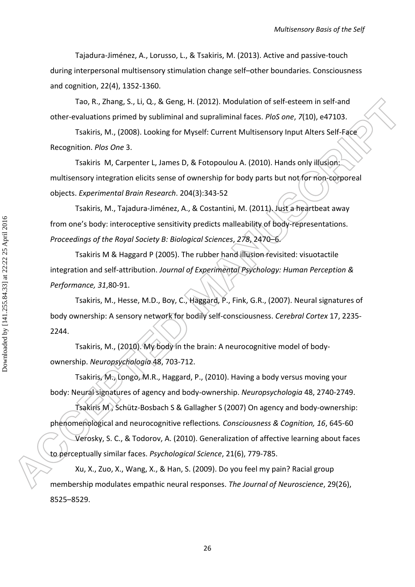Tajadura-Jiménez, A., Lorusso, L., & Tsakiris, M. (2013). Active and passive-touch during interpersonal multisensory stimulation change self–other boundaries. Consciousness and cognition, 22(4), 1352-1360.

Tao, R., Zhang, S., Li, Q., & Geng, H. (2012). Modulation of self-esteem in self-and other-evaluations primed by subliminal and supraliminal faces. *PloS one*, *7*(10), e47103.

Tsakiris, M., (2008). Looking for Myself: Current Multisensory Input Alters Self-Face Recognition. *Plos One* 3.

Tsakiris M, Carpenter L, James D, & Fotopoulou A. (2010). Hands only illusion: multisensory integration elicits sense of ownership for body parts but not for non-corporeal objects. *Experimental Brain Research*. 204(3):343-52

Tsakiris, M., Tajadura-Jiménez, A., & Costantini, M. (2011). Just a heartbeat away from one's body: interoceptive sensitivity predicts malleability of body-representations. *Proceedings of the Royal Society B: Biological Sciences*, *278*, 2470–6.

Tsakiris M & Haggard P (2005). The rubber hand illusion revisited: visuotactile integration and self-attribution. *Journal of Experimental Psychology: Human Perception & Performance, 31*,80-91.

Tsakiris, M., Hesse, M.D., Boy, C., Haggard, P., Fink, G.R., (2007). Neural signatures of body ownership: A sensory network for bodily self-consciousness. *Cerebral Cortex* 17, 2235- 2244.

Tsakiris, M., (2010). My body in the brain: A neurocognitive model of bodyownership. *Neuropsychologia* 48, 703-712.

Tsakiris, M., Longo, M.R., Haggard, P., (2010). Having a body versus moving your body: Neural signatures of agency and body-ownership. *Neuropsychologia* 48, 2740-2749.

Tsakiris M , Schütz-Bosbach S & Gallagher S (2007) On agency and body-ownership: phenomenological and neurocognitive reflections*. Consciousness & Cognition, 16*, 645-60

Verosky, S. C., & Todorov, A. (2010). Generalization of affective learning about faces to perceptually similar faces. *Psychological Science*, 21(6), 779-785.

Xu, X., Zuo, X., Wang, X., & Han, S. (2009). Do you feel my pain? Racial group membership modulates empathic neural responses. *The Journal of Neuroscience*, 29(26), 8525–8529.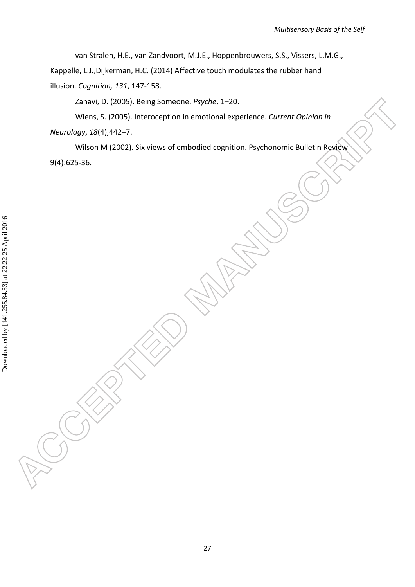van Stralen, H.E., van Zandvoort, M.J.E., Hoppenbrouwers, S.S., Vissers, L.M.G.,

Kappelle, L.J.,Dijkerman, H.C. (2014) Affective touch modulates the rubber hand illusion. *Cognition, 131*, 147-158.

Zahavi, D. (2005). Being Someone. *Psyche*, 1–20.

Wiens, S. (2005). Interoception in emotional experience. *Current Opinion in Neurology*, *18*(4),442–7.

Wilson M (2002). Six views of embodied cognition. Psychonomic Bulletin Review 9(4):625-36.